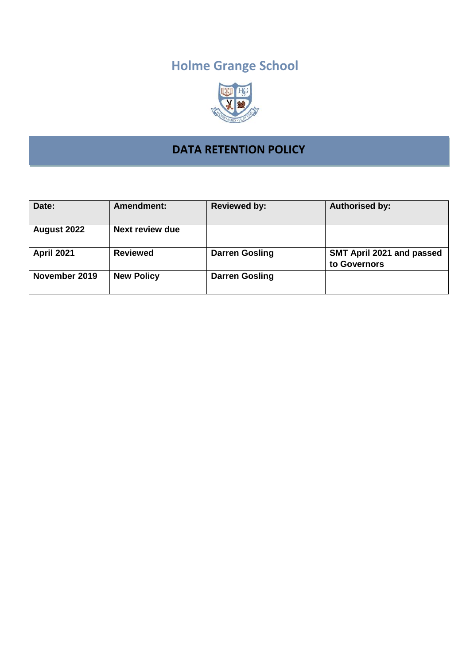# **Holme Grange School**



## **DATA RETENTION POLICY**

| Date:             | Amendment:             | <b>Reviewed by:</b>   | <b>Authorised by:</b>                     |
|-------------------|------------------------|-----------------------|-------------------------------------------|
| August 2022       | <b>Next review due</b> |                       |                                           |
| <b>April 2021</b> | <b>Reviewed</b>        | <b>Darren Gosling</b> | SMT April 2021 and passed<br>to Governors |
| November 2019     | <b>New Policy</b>      | <b>Darren Gosling</b> |                                           |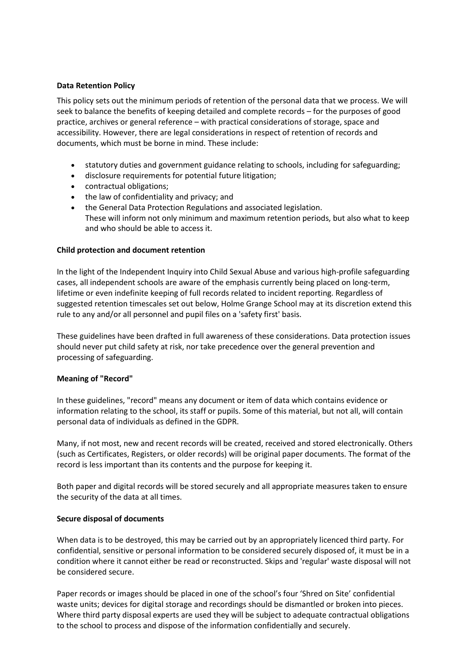#### **Data Retention Policy**

This policy sets out the minimum periods of retention of the personal data that we process. We will seek to balance the benefits of keeping detailed and complete records – for the purposes of good practice, archives or general reference – with practical considerations of storage, space and accessibility. However, there are legal considerations in respect of retention of records and documents, which must be borne in mind. These include:

- statutory duties and government guidance relating to schools, including for safeguarding;
- disclosure requirements for potential future litigation;
- contractual obligations;
- the law of confidentiality and privacy; and
- the General Data Protection Regulations and associated legislation. These will inform not only minimum and maximum retention periods, but also what to keep and who should be able to access it.

#### **Child protection and document retention**

In the light of the Independent Inquiry into Child Sexual Abuse and various high-profile safeguarding cases, all independent schools are aware of the emphasis currently being placed on long-term, lifetime or even indefinite keeping of full records related to incident reporting. Regardless of suggested retention timescales set out below, Holme Grange School may at its discretion extend this rule to any and/or all personnel and pupil files on a 'safety first' basis.

These guidelines have been drafted in full awareness of these considerations. Data protection issues should never put child safety at risk, nor take precedence over the general prevention and processing of safeguarding.

#### **Meaning of "Record"**

In these guidelines, "record" means any document or item of data which contains evidence or information relating to the school, its staff or pupils. Some of this material, but not all, will contain personal data of individuals as defined in the GDPR.

Many, if not most, new and recent records will be created, received and stored electronically. Others (such as Certificates, Registers, or older records) will be original paper documents. The format of the record is less important than its contents and the purpose for keeping it.

Both paper and digital records will be stored securely and all appropriate measures taken to ensure the security of the data at all times.

#### **Secure disposal of documents**

When data is to be destroyed, this may be carried out by an appropriately licenced third party. For confidential, sensitive or personal information to be considered securely disposed of, it must be in a condition where it cannot either be read or reconstructed. Skips and 'regular' waste disposal will not be considered secure.

Paper records or images should be placed in one of the school's four 'Shred on Site' confidential waste units; devices for digital storage and recordings should be dismantled or broken into pieces. Where third party disposal experts are used they will be subject to adequate contractual obligations to the school to process and dispose of the information confidentially and securely.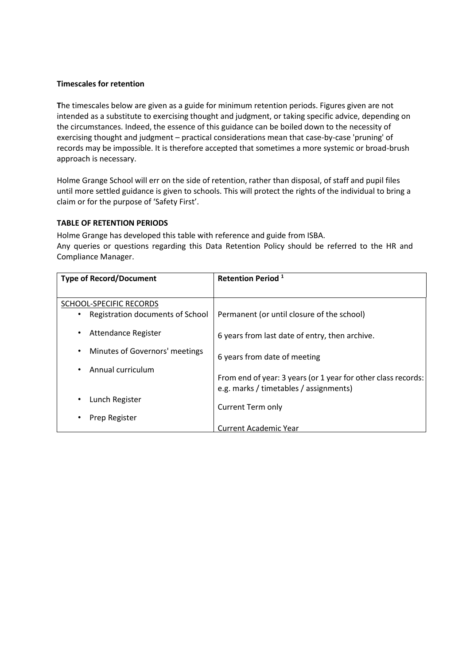#### **Timescales for retention**

**T**he timescales below are given as a guide for minimum retention periods. Figures given are not intended as a substitute to exercising thought and judgment, or taking specific advice, depending on the circumstances. Indeed, the essence of this guidance can be boiled down to the necessity of exercising thought and judgment – practical considerations mean that case-by-case 'pruning' of records may be impossible. It is therefore accepted that sometimes a more systemic or broad-brush approach is necessary.

Holme Grange School will err on the side of retention, rather than disposal, of staff and pupil files until more settled guidance is given to schools. This will protect the rights of the individual to bring a claim or for the purpose of 'Safety First'.

### **TABLE OF RETENTION PERIODS**

Holme Grange has developed this table with reference and guide from ISBA. Any queries or questions regarding this Data Retention Policy should be referred to the HR and Compliance Manager.

| <b>Type of Record/Document</b>        | <b>Retention Period</b> <sup>1</sup>                                                                    |
|---------------------------------------|---------------------------------------------------------------------------------------------------------|
|                                       |                                                                                                         |
| SCHOOL-SPECIFIC RECORDS               |                                                                                                         |
| Registration documents of School<br>٠ | Permanent (or until closure of the school)                                                              |
| Attendance Register<br>$\bullet$      | 6 years from last date of entry, then archive.                                                          |
| Minutes of Governors' meetings<br>٠   | 6 years from date of meeting                                                                            |
| Annual curriculum<br>٠                | From end of year: 3 years (or 1 year for other class records:<br>e.g. marks / timetables / assignments) |
| Lunch Register                        | Current Term only                                                                                       |
| Prep Register<br>٠                    |                                                                                                         |
|                                       | <b>Current Academic Year</b>                                                                            |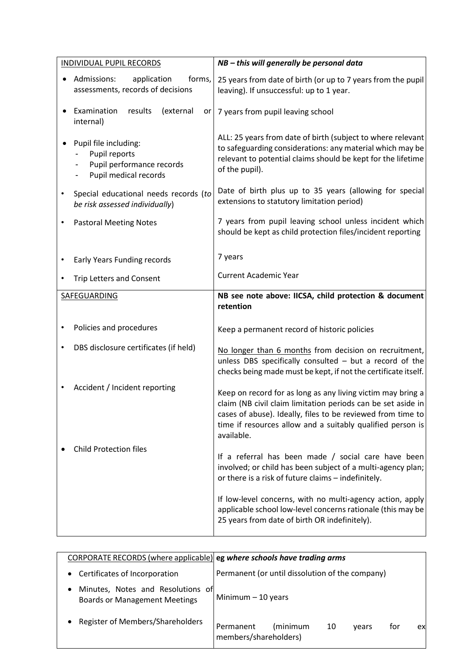| <b>INDIVIDUAL PUPIL RECORDS</b> |                                                                                              | NB - this will generally be personal data                                                                                                                                                                                                                              |
|---------------------------------|----------------------------------------------------------------------------------------------|------------------------------------------------------------------------------------------------------------------------------------------------------------------------------------------------------------------------------------------------------------------------|
|                                 | Admissions:<br>forms,<br>application<br>assessments, records of decisions                    | 25 years from date of birth (or up to 7 years from the pupil<br>leaving). If unsuccessful: up to 1 year.                                                                                                                                                               |
|                                 | Examination<br>results<br>(external<br>or<br>internal)                                       | 7 years from pupil leaving school                                                                                                                                                                                                                                      |
|                                 | Pupil file including:<br>Pupil reports<br>Pupil performance records<br>Pupil medical records | ALL: 25 years from date of birth (subject to where relevant<br>to safeguarding considerations: any material which may be<br>relevant to potential claims should be kept for the lifetime<br>of the pupil).                                                             |
|                                 | Special educational needs records (to<br>be risk assessed individually)                      | Date of birth plus up to 35 years (allowing for special<br>extensions to statutory limitation period)                                                                                                                                                                  |
|                                 | <b>Pastoral Meeting Notes</b>                                                                | 7 years from pupil leaving school unless incident which<br>should be kept as child protection files/incident reporting                                                                                                                                                 |
|                                 | Early Years Funding records                                                                  | 7 years                                                                                                                                                                                                                                                                |
|                                 | <b>Trip Letters and Consent</b>                                                              | <b>Current Academic Year</b>                                                                                                                                                                                                                                           |
|                                 | <b>SAFEGUARDING</b>                                                                          | NB see note above: IICSA, child protection & document<br>retention                                                                                                                                                                                                     |
|                                 | Policies and procedures                                                                      | Keep a permanent record of historic policies                                                                                                                                                                                                                           |
|                                 | DBS disclosure certificates (if held)                                                        | No longer than 6 months from decision on recruitment,<br>unless DBS specifically consulted $-$ but a record of the<br>checks being made must be kept, if not the certificate itself.                                                                                   |
|                                 | Accident / Incident reporting                                                                | Keep on record for as long as any living victim may bring a<br>claim (NB civil claim limitation periods can be set aside in<br>cases of abuse). Ideally, files to be reviewed from time to<br>time if resources allow and a suitably qualified person is<br>available. |
|                                 | <b>Child Protection files</b>                                                                | If a referral has been made / social care have been<br>involved; or child has been subject of a multi-agency plan;<br>or there is a risk of future claims - indefinitely.                                                                                              |
|                                 |                                                                                              | If low-level concerns, with no multi-agency action, apply<br>applicable school low-level concerns rationale (this may be<br>25 years from date of birth OR indefinitely).                                                                                              |

| CORPORATE RECORDS (where applicable) eg where schools have trading arms                |                                                                            |
|----------------------------------------------------------------------------------------|----------------------------------------------------------------------------|
| Certificates of Incorporation<br>$\bullet$                                             | Permanent (or until dissolution of the company)                            |
| Minutes, Notes and Resolutions of<br>$\bullet$<br><b>Boards or Management Meetings</b> | Minimum $-10$ years                                                        |
| Register of Members/Shareholders<br>$\bullet$                                          | (minimum<br>10<br>for<br>Permanent<br>vears<br>ex<br>members/shareholders) |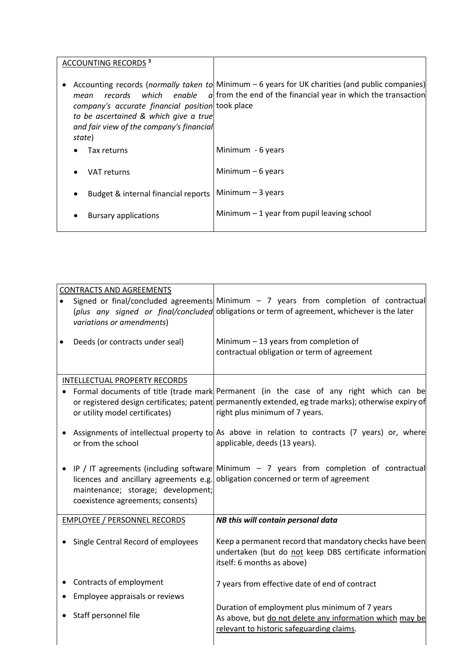| <b>ACCOUNTING RECORDS 3</b>                                                                                                                                                        |                                                                                                                                                                    |
|------------------------------------------------------------------------------------------------------------------------------------------------------------------------------------|--------------------------------------------------------------------------------------------------------------------------------------------------------------------|
| which enable<br>records<br>mean<br>company's accurate financial position took place<br>to be ascertained & which give a true<br>and fair view of the company's financial<br>state) | Accounting records (normally taken to Minimum - 6 years for UK charities (and public companies)<br>$q$ from the end of the financial year in which the transaction |
| Tax returns                                                                                                                                                                        | Minimum - 6 years                                                                                                                                                  |
| <b>VAT returns</b>                                                                                                                                                                 | Minimum $-6$ years                                                                                                                                                 |
| Budget & internal financial reports                                                                                                                                                | Minimum $-3$ years                                                                                                                                                 |
| <b>Bursary applications</b>                                                                                                                                                        | Minimum $-1$ year from pupil leaving school                                                                                                                        |

| <b>CONTRACTS AND AGREEMENTS</b><br>variations or amendments)<br>Deeds (or contracts under seal)                                         | Signed or final/concluded agreements Minimum - 7 years from completion of contractual<br>(plus any signed or final/concluded obligations or term of agreement, whichever is the later<br>Minimum $-13$ years from completion of<br>contractual obligation or term of agreement |
|-----------------------------------------------------------------------------------------------------------------------------------------|--------------------------------------------------------------------------------------------------------------------------------------------------------------------------------------------------------------------------------------------------------------------------------|
| <b>INTELLECTUAL PROPERTY RECORDS</b><br>or utility model certificates)                                                                  | Formal documents of title (trade mark Permanent (in the case of any right which can be<br>or registered design certificates; patent permanently extended, eg trade marks); otherwise expiry of<br>right plus minimum of 7 years.                                               |
| or from the school<br>licences and ancillary agreements e.g.<br>maintenance; storage; development;<br>coexistence agreements; consents) | Assignments of intellectual property to As above in relation to contracts (7 years) or, where<br>applicable, deeds (13 years).<br>IP / IT agreements (including software Minimum $-$ 7 years from completion of contractual<br>obligation concerned or term of agreement       |
| <b>EMPLOYEE / PERSONNEL RECORDS</b><br>Single Central Record of employees                                                               | NB this will contain personal data<br>Keep a permanent record that mandatory checks have been<br>undertaken (but do not keep DBS certificate information                                                                                                                       |
| Contracts of employment<br>Employee appraisals or reviews<br>Staff personnel file                                                       | itself: 6 months as above)<br>7 years from effective date of end of contract<br>Duration of employment plus minimum of 7 years<br>As above, but do not delete any information which may be<br>relevant to historic safeguarding claims.                                        |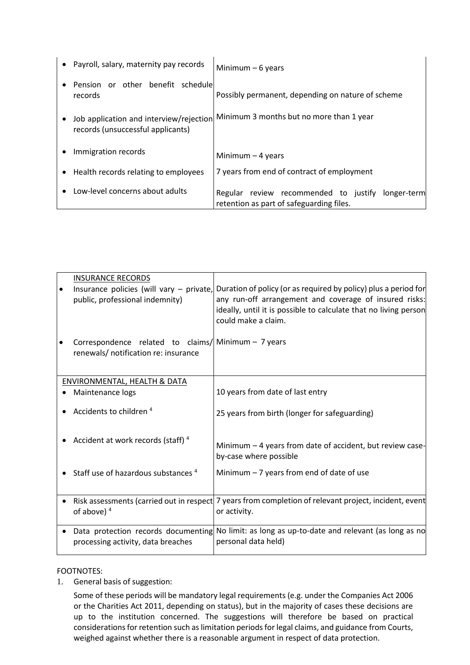|                                        | • Payroll, salary, maternity pay records     | Minimum $-6$ years                                                                               |
|----------------------------------------|----------------------------------------------|--------------------------------------------------------------------------------------------------|
|                                        | Pension or other benefit schedule<br>records | Possibly permanent, depending on nature of scheme                                                |
|                                        | records (unsuccessful applicants)            | Job application and interview/rejection Minimum 3 months but no more than 1 year                 |
| Immigration records                    |                                              | Minimum $-4$ years                                                                               |
| • Health records relating to employees |                                              | 7 years from end of contract of employment                                                       |
|                                        | Low-level concerns about adults              | Regular review recommended to justify<br>longer-term<br>retention as part of safeguarding files. |

|           | <b>INSURANCE RECORDS</b>                                                                     |                                                                                                                                                                                                                      |
|-----------|----------------------------------------------------------------------------------------------|----------------------------------------------------------------------------------------------------------------------------------------------------------------------------------------------------------------------|
|           | Insurance policies (will vary - private,<br>public, professional indemnity)                  | Duration of policy (or as required by policy) plus a period for<br>any run-off arrangement and coverage of insured risks:<br>ideally, until it is possible to calculate that no living person<br>could make a claim. |
|           | Correspondence related to claims/  Minimum - 7 years<br>renewals/ notification re: insurance |                                                                                                                                                                                                                      |
|           | ENVIRONMENTAL, HEALTH & DATA                                                                 |                                                                                                                                                                                                                      |
|           |                                                                                              |                                                                                                                                                                                                                      |
|           | Maintenance logs                                                                             | 10 years from date of last entry                                                                                                                                                                                     |
|           | Accidents to children <sup>4</sup>                                                           | 25 years from birth (longer for safeguarding)                                                                                                                                                                        |
|           | Accident at work records (staff) <sup>4</sup>                                                | Minimum - 4 years from date of accident, but review case-<br>by-case where possible                                                                                                                                  |
|           | Staff use of hazardous substances <sup>4</sup>                                               | Minimum $-7$ years from end of date of use                                                                                                                                                                           |
| $\bullet$ | of above) $4$                                                                                | Risk assessments (carried out in respect 7 years from completion of relevant project, incident, event<br>or activity.                                                                                                |
|           | processing activity, data breaches                                                           | Data protection records documenting No limit: as long as up-to-date and relevant (as long as no<br>personal data held)                                                                                               |
|           |                                                                                              |                                                                                                                                                                                                                      |

FOOTNOTES:

1. General basis of suggestion:

Some of these periods will be mandatory legal requirements (e.g. under the Companies Act 2006 or the Charities Act 2011, depending on status), but in the majority of cases these decisions are up to the institution concerned. The suggestions will therefore be based on practical considerations for retention such as limitation periods for legal claims, and guidance from Courts, weighed against whether there is a reasonable argument in respect of data protection.